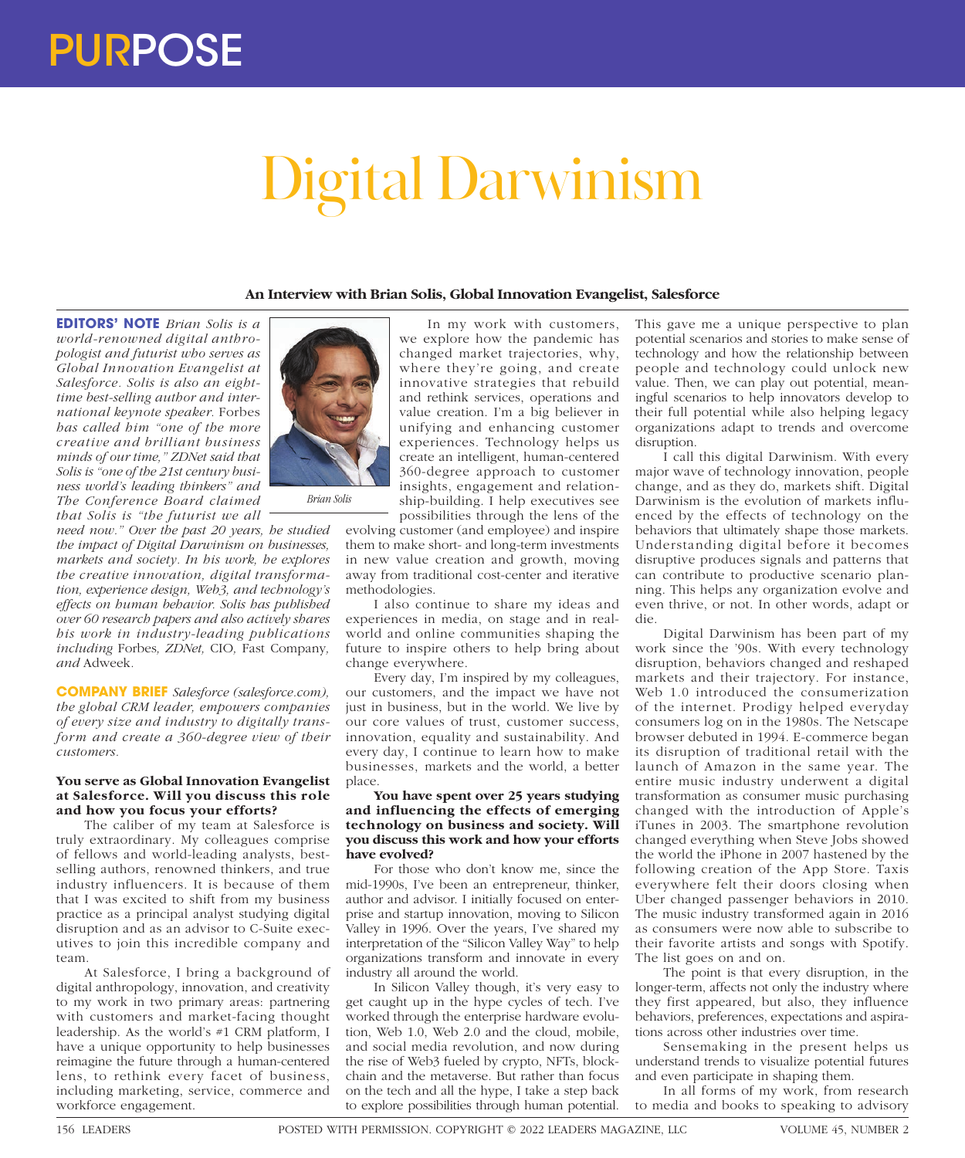# Digital Darwinism

# **An Interview with Brian Solis, Global Innovation Evangelist, Salesforce**

**EDITORS' NOTE** *Brian Solis is a world-renowned digital anthropologist and futurist who serves as Global Innovation Evangelist at Salesforce. Solis is also an eighttime best-selling author and international keynote speaker.* Forbes *has called him "one of the more creative and brilliant business minds of our time," ZDNet said that Solis is "one of the 21st century business world's leading thinkers" and The Conference Board claimed that Solis is "the futurist we all* 

*need now." Over the past 20 years, he studied the impact of Digital Darwinism on businesses, markets and society. In his work, he explores the creative innovation, digital transformation, experience design, Web3, and technology's effects on human behavior. Solis has published over 60 research papers and also actively shares his work in industry-leading publications including* Forbes*, ZDNet,* CIO*,* Fast Company*, and* Adweek*.*

**COMPANY BRIEF** *Salesforce (salesforce.com), the global CRM leader, empowers companies of every size and industry to digitally transform and create a 360-degree view of their customers.*

## **You serve as Global Innovation Evangelist at Salesforce. Will you discuss this role and how you focus your efforts?**

The caliber of my team at Salesforce is truly extraordinary. My colleagues comprise of fellows and world-leading analysts, bestselling authors, renowned thinkers, and true industry influencers. It is because of them that I was excited to shift from my business practice as a principal analyst studying digital disruption and as an advisor to C-Suite executives to join this incredible company and team.

At Salesforce, I bring a background of digital anthropology, innovation, and creativity to my work in two primary areas: partnering with customers and market-facing thought leadership. As the world's #1 CRM platform, I have a unique opportunity to help businesses reimagine the future through a human-centered lens, to rethink every facet of business, including marketing, service, commerce and workforce engagement.



evolving customer (and employee) and inspire them to make short- and long-term investments in new value creation and growth, moving away from traditional cost-center and iterative methodologies.

I also continue to share my ideas and experiences in media, on stage and in realworld and online communities shaping the future to inspire others to help bring about change everywhere.

Every day, I'm inspired by my colleagues, our customers, and the impact we have not just in business, but in the world. We live by our core values of trust, customer success, innovation, equality and sustainability. And every day, I continue to learn how to make businesses, markets and the world, a better place.

### **You have spent over 25 years studying and influencing the effects of emerging technology on business and society. Will you discuss this work and how your efforts have evolved?**

For those who don't know me, since the mid-1990s, I've been an entrepreneur, thinker, author and advisor. I initially focused on enterprise and startup innovation, moving to Silicon Valley in 1996. Over the years, I've shared my interpretation of the "Silicon Valley Way" to help organizations transform and innovate in every industry all around the world.

In Silicon Valley though, it's very easy to get caught up in the hype cycles of tech. I've worked through the enterprise hardware evolution, Web 1.0, Web 2.0 and the cloud, mobile, and social media revolution, and now during the rise of Web3 fueled by crypto, NFTs, blockchain and the metaverse. But rather than focus on the tech and all the hype, I take a step back to explore possibilities through human potential.

This gave me a unique perspective to plan potential scenarios and stories to make sense of technology and how the relationship between people and technology could unlock new value. Then, we can play out potential, meaningful scenarios to help innovators develop to their full potential while also helping legacy organizations adapt to trends and overcome disruption.

I call this digital Darwinism. With every major wave of technology innovation, people change, and as they do, markets shift. Digital Darwinism is the evolution of markets influenced by the effects of technology on the behaviors that ultimately shape those markets. Understanding digital before it becomes disruptive produces signals and patterns that can contribute to productive scenario planning. This helps any organization evolve and even thrive, or not. In other words, adapt or die.

Digital Darwinism has been part of my work since the '90s. With every technology disruption, behaviors changed and reshaped markets and their trajectory. For instance, Web 1.0 introduced the consumerization of the internet. Prodigy helped everyday consumers log on in the 1980s. The Netscape browser debuted in 1994. E-commerce began its disruption of traditional retail with the launch of Amazon in the same year. The entire music industry underwent a digital transformation as consumer music purchasing changed with the introduction of Apple's iTunes in 2003. The smartphone revolution changed everything when Steve Jobs showed the world the iPhone in 2007 hastened by the following creation of the App Store. Taxis everywhere felt their doors closing when Uber changed passenger behaviors in 2010. The music industry transformed again in 2016 as consumers were now able to subscribe to their favorite artists and songs with Spotify. The list goes on and on.

The point is that every disruption, in the longer-term, affects not only the industry where they first appeared, but also, they influence behaviors, preferences, expectations and aspirations across other industries over time.

Sensemaking in the present helps us understand trends to visualize potential futures and even participate in shaping them.

In all forms of my work, from research to media and books to speaking to advisory

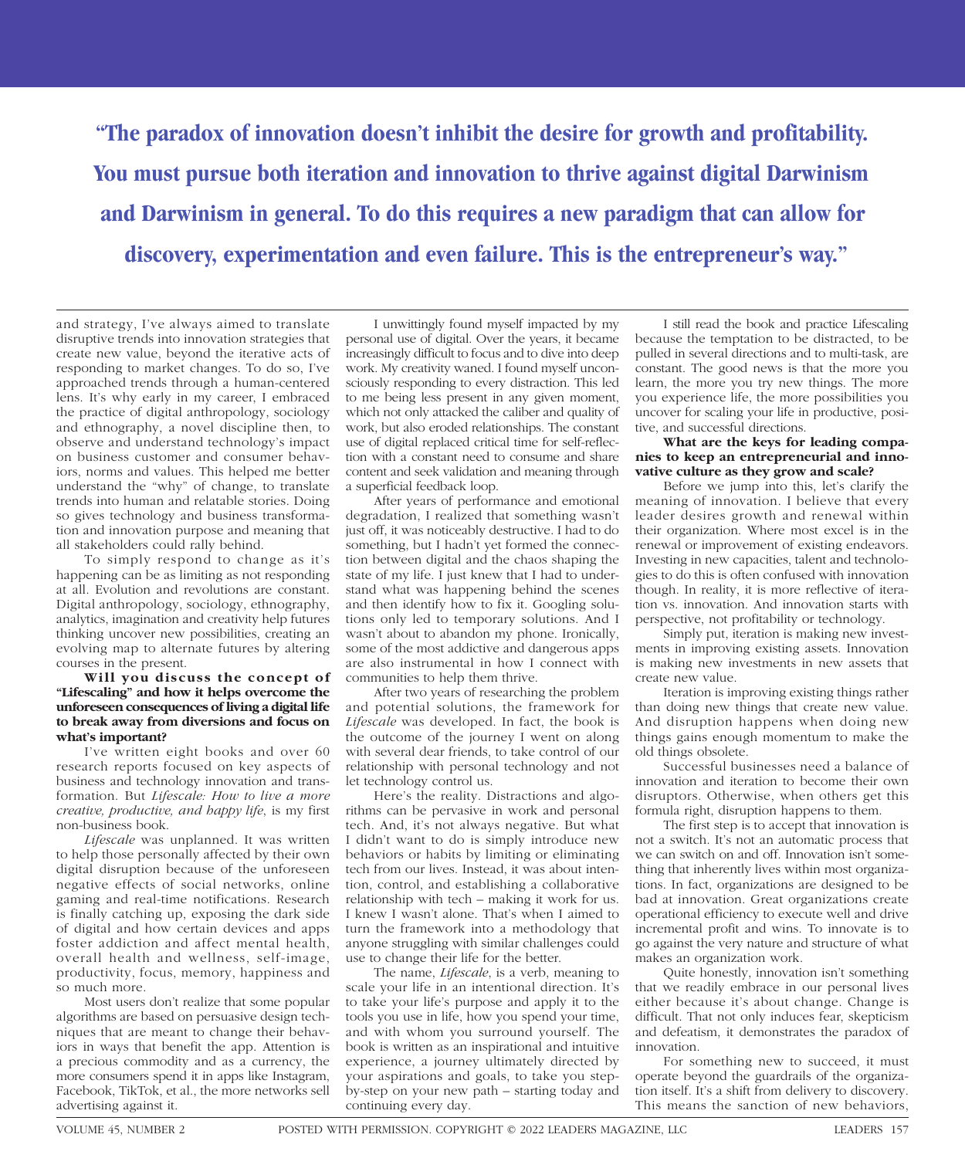**"The paradox of innovation doesn't inhibit the desire for growth and profitability. You must pursue both iteration and innovation to thrive against digital Darwinism and Darwinism in general. To do this requires a new paradigm that can allow for discovery, experimentation and even failure. This is the entrepreneur's way."**

and strategy, I've always aimed to translate disruptive trends into innovation strategies that create new value, beyond the iterative acts of responding to market changes. To do so, I've approached trends through a human-centered lens. It's why early in my career, I embraced the practice of digital anthropology, sociology and ethnography, a novel discipline then, to observe and understand technology's impact on business customer and consumer behaviors, norms and values. This helped me better understand the "why" of change, to translate trends into human and relatable stories. Doing so gives technology and business transformation and innovation purpose and meaning that all stakeholders could rally behind.

To simply respond to change as it's happening can be as limiting as not responding at all. Evolution and revolutions are constant. Digital anthropology, sociology, ethnography, analytics, imagination and creativity help futures thinking uncover new possibilities, creating an evolving map to alternate futures by altering courses in the present.

### **Will you discuss the concept of "Lifescaling" and how it helps overcome the unforeseen consequences of living a digital life to break away from diversions and focus on what's important?**

I've written eight books and over 60 research reports focused on key aspects of business and technology innovation and transformation. But *Lifescale: How to live a more creative, productive, and happy life*, is my first non-business book.

*Lifescale* was unplanned. It was written to help those personally affected by their own digital disruption because of the unforeseen negative effects of social networks, online gaming and real-time notifications. Research is finally catching up, exposing the dark side of digital and how certain devices and apps foster addiction and affect mental health, overall health and wellness, self-image, productivity, focus, memory, happiness and so much more.

Most users don't realize that some popular algorithms are based on persuasive design techniques that are meant to change their behaviors in ways that benefit the app. Attention is a precious commodity and as a currency, the more consumers spend it in apps like Instagram, Facebook, TikTok, et al., the more networks sell advertising against it.

I unwittingly found myself impacted by my personal use of digital. Over the years, it became increasingly difficult to focus and to dive into deep work. My creativity waned. I found myself unconsciously responding to every distraction. This led to me being less present in any given moment, which not only attacked the caliber and quality of work, but also eroded relationships. The constant use of digital replaced critical time for self-reflection with a constant need to consume and share content and seek validation and meaning through a superficial feedback loop.

After years of performance and emotional degradation, I realized that something wasn't just off, it was noticeably destructive. I had to do something, but I hadn't yet formed the connection between digital and the chaos shaping the state of my life. I just knew that I had to understand what was happening behind the scenes and then identify how to fix it. Googling solutions only led to temporary solutions. And I wasn't about to abandon my phone. Ironically, some of the most addictive and dangerous apps are also instrumental in how I connect with communities to help them thrive.

After two years of researching the problem and potential solutions, the framework for *Lifescale* was developed. In fact, the book is the outcome of the journey I went on along with several dear friends, to take control of our relationship with personal technology and not let technology control us.

Here's the reality. Distractions and algorithms can be pervasive in work and personal tech. And, it's not always negative. But what I didn't want to do is simply introduce new behaviors or habits by limiting or eliminating tech from our lives. Instead, it was about intention, control, and establishing a collaborative relationship with tech – making it work for us. I knew I wasn't alone. That's when I aimed to turn the framework into a methodology that anyone struggling with similar challenges could use to change their life for the better.

The name, *Lifescale*, is a verb, meaning to scale your life in an intentional direction. It's to take your life's purpose and apply it to the tools you use in life, how you spend your time, and with whom you surround yourself. The book is written as an inspirational and intuitive experience, a journey ultimately directed by your aspirations and goals, to take you stepby-step on your new path – starting today and continuing every day.

I still read the book and practice Lifescaling because the temptation to be distracted, to be pulled in several directions and to multi-task, are constant. The good news is that the more you learn, the more you try new things. The more you experience life, the more possibilities you uncover for scaling your life in productive, positive, and successful directions.

### **What are the keys for leading companies to keep an entrepreneurial and innovative culture as they grow and scale?**

Before we jump into this, let's clarify the meaning of innovation. I believe that every leader desires growth and renewal within their organization. Where most excel is in the renewal or improvement of existing endeavors. Investing in new capacities, talent and technologies to do this is often confused with innovation though. In reality, it is more reflective of iteration vs. innovation. And innovation starts with perspective, not profitability or technology.

Simply put, iteration is making new investments in improving existing assets. Innovation is making new investments in new assets that create new value.

Iteration is improving existing things rather than doing new things that create new value. And disruption happens when doing new things gains enough momentum to make the old things obsolete.

Successful businesses need a balance of innovation and iteration to become their own disruptors. Otherwise, when others get this formula right, disruption happens to them.

The first step is to accept that innovation is not a switch. It's not an automatic process that we can switch on and off. Innovation isn't something that inherently lives within most organizations. In fact, organizations are designed to be bad at innovation. Great organizations create operational efficiency to execute well and drive incremental profit and wins. To innovate is to go against the very nature and structure of what makes an organization work.

Quite honestly, innovation isn't something that we readily embrace in our personal lives either because it's about change. Change is difficult. That not only induces fear, skepticism and defeatism, it demonstrates the paradox of innovation.

For something new to succeed, it must operate beyond the guardrails of the organization itself. It's a shift from delivery to discovery. This means the sanction of new behaviors,